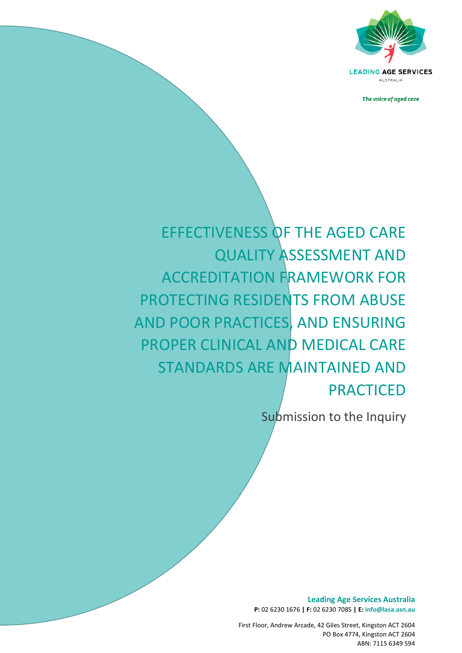

AUSTRALIA

The voice of aged care

EFFECTIVENESS OF THE AGED CARE QUALITY ASSESSMENT AND ACCREDITATION FRAMEWORK FOR PROTECTING RESIDENTS FROM ABUSE AND POOR PRACTICES, AND ENSURING PROPER CLINICAL AND MEDICAL CARE STANDARDS ARE MAINTAINED AND PRACTICED

*The voice of aged care*

Submission to the Inquiry

**Leading Age Services Australia P:** 02 6230 1676 **| F:** 02 6230 7085 **| E: info@lasa.asn.au**

First Floor, Andrew Arcade, 42 Giles Street, Kingston ACT 2604 PO Box 4774, Kingston ACT 2604 ABN: 7115 6349 594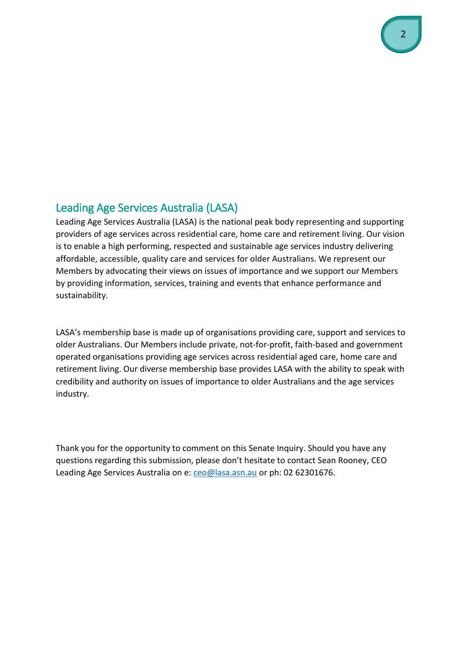# Leading Age Services Australia (LASA)

Leading Age Services Australia (LASA) is the national peak body representing and supporting providers of age services across residential care, home care and retirement living. Our vision is to enable a high performing, respected and sustainable age services industry delivering affordable, accessible, quality care and services for older Australians. We represent our Members by advocating their views on issues of importance and we support our Members by providing information, services, training and events that enhance performance and sustainability.

LASA's membership base is made up of organisations providing care, support and services to older Australians. Our Members include private, not-for-profit, faith-based and government operated organisations providing age services across residential aged care, home care and retirement living. Our diverse membership base provides LASA with the ability to speak with credibility and authority on issues of importance to older Australians and the age services industry.

Thank you for the opportunity to comment on this Senate Inquiry. Should you have any questions regarding this submission, please don't hesitate to contact Sean Rooney, CEO Leading Age Services Australia on e: [ceo@lasa.asn.au](mailto:ceo@lasa.asn.au) or ph: 02 62301676.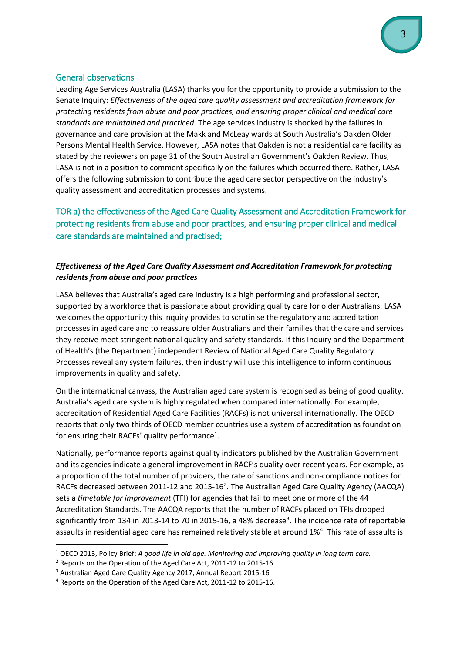### General observations

Leading Age Services Australia (LASA) thanks you for the opportunity to provide a submission to the Senate Inquiry: *Effectiveness of the aged care quality assessment and accreditation framework for protecting residents from abuse and poor practices, and ensuring proper clinical and medical care standards are maintained and practiced.* The age services industry is shocked by the failures in governance and care provision at the Makk and McLeay wards at South Australia's Oakden Older Persons Mental Health Service. However, LASA notes that Oakden is not a residential care facility as stated by the reviewers on page 31 of the South Australian Government's Oakden Review. Thus, LASA is not in a position to comment specifically on the failures which occurred there. Rather, LASA offers the following submission to contribute the aged care sector perspective on the industry's quality assessment and accreditation processes and systems.

TOR a) the effectiveness of the Aged Care Quality Assessment and Accreditation Framework for protecting residents from abuse and poor practices, and ensuring proper clinical and medical care standards are maintained and practised;

### *Effectiveness of the Aged Care Quality Assessment and Accreditation Framework for protecting residents from abuse and poor practices*

LASA believes that Australia's aged care industry is a high performing and professional sector, supported by a workforce that is passionate about providing quality care for older Australians. LASA welcomes the opportunity this inquiry provides to scrutinise the regulatory and accreditation processes in aged care and to reassure older Australians and their families that the care and services they receive meet stringent national quality and safety standards. If this Inquiry and the Department of Health's (the Department) independent Review of National Aged Care Quality Regulatory Processes reveal any system failures, then industry will use this intelligence to inform continuous improvements in quality and safety.

On the international canvass, the Australian aged care system is recognised as being of good quality. Australia's aged care system is highly regulated when compared internationally. For example, accreditation of Residential Aged Care Facilities (RACFs) is not universal internationally. The OECD reports that only two thirds of OECD member countries use a system of accreditation as foundation for ensuring their RACFs' quality performance<sup>[1](#page-2-0)</sup>.

Nationally, performance reports against quality indicators published by the Australian Government and its agencies indicate a general improvement in RACF's quality over recent years. For example, as a proportion of the total number of providers, the rate of sanctions and non-compliance notices for RACFs decreased between [2](#page-2-1)011-12 and 2015-16<sup>2</sup>. The Australian Aged Care Quality Agency (AACQA) sets a *timetable for improvement* (TFI) for agencies that fail to meet one or more of the 44 Accreditation Standards. The AACQA reports that the number of RACFs placed on TFIs dropped significantly from 1[3](#page-2-2)4 in 2013-14 to 70 in 2015-16, a 48% decrease<sup>3</sup>. The incidence rate of reportable assaults in residential aged care has remained relatively stable at around 1%<sup>[4](#page-2-3)</sup>. This rate of assaults is

<span id="page-2-0"></span> <sup>1</sup> OECD 2013, Policy Brief: *A good life in old age. Monitoring and improving quality in long term care.*

<span id="page-2-1"></span><sup>2</sup> Reports on the Operation of the Aged Care Act, 2011-12 to 2015-16.

<span id="page-2-2"></span><sup>3</sup> Australian Aged Care Quality Agency 2017, Annual Report 2015-16

<span id="page-2-3"></span><sup>4</sup> Reports on the Operation of the Aged Care Act, 2011-12 to 2015-16.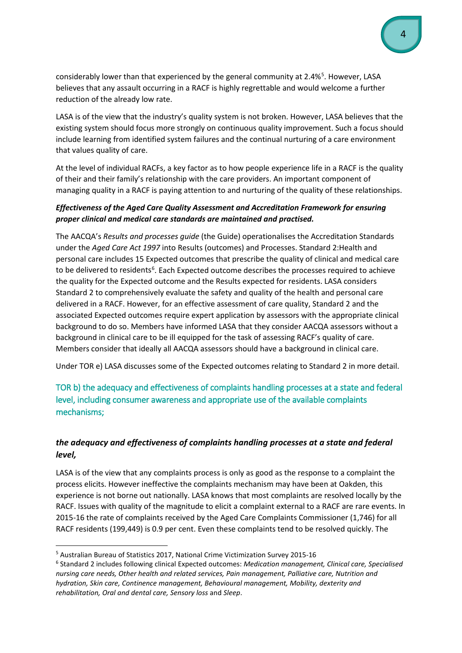considerably lower than that experienced by the general community at 2.4%<sup>[5](#page-3-0)</sup>. However, LASA believes that any assault occurring in a RACF is highly regrettable and would welcome a further reduction of the already low rate.

LASA is of the view that the industry's quality system is not broken. However, LASA believes that the existing system should focus more strongly on continuous quality improvement. Such a focus should include learning from identified system failures and the continual nurturing of a care environment that values quality of care.

At the level of individual RACFs, a key factor as to how people experience life in a RACF is the quality of their and their family's relationship with the care providers. An important component of managing quality in a RACF is paying attention to and nurturing of the quality of these relationships.

### *Effectiveness of the Aged Care Quality Assessment and Accreditation Framework for ensuring proper clinical and medical care standards are maintained and practised.*

The AACQA's *Results and processes guide* (the Guide) operationalises the Accreditation Standards under the *Aged Care Act 1997* into Results (outcomes) and Processes. Standard 2:Health and personal care includes 15 Expected outcomes that prescribe the quality of clinical and medical care to be delivered to residents<sup>[6](#page-3-1)</sup>. Each Expected outcome describes the processes required to achieve the quality for the Expected outcome and the Results expected for residents. LASA considers Standard 2 to comprehensively evaluate the safety and quality of the health and personal care delivered in a RACF. However, for an effective assessment of care quality, Standard 2 and the associated Expected outcomes require expert application by assessors with the appropriate clinical background to do so. Members have informed LASA that they consider AACQA assessors without a background in clinical care to be ill equipped for the task of assessing RACF's quality of care. Members consider that ideally all AACQA assessors should have a background in clinical care.

Under TOR e) LASA discusses some of the Expected outcomes relating to Standard 2 in more detail.

# TOR b) the adequacy and effectiveness of complaints handling processes at a state and federal level, including consumer awareness and appropriate use of the available complaints mechanisms;

### *the adequacy and effectiveness of complaints handling processes at a state and federal level,*

LASA is of the view that any complaints process is only as good as the response to a complaint the process elicits. However ineffective the complaints mechanism may have been at Oakden, this experience is not borne out nationally. LASA knows that most complaints are resolved locally by the RACF. Issues with quality of the magnitude to elicit a complaint external to a RACF are rare events. In 2015-16 the rate of complaints received by the Aged Care Complaints Commissioner (1,746) for all RACF residents (199,449) is 0.9 per cent. Even these complaints tend to be resolved quickly. The

<span id="page-3-0"></span> <sup>5</sup> Australian Bureau of Statistics 2017, National Crime Victimization Survey 2015-16

<span id="page-3-1"></span><sup>6</sup> Standard 2 includes following clinical Expected outcomes: *Medication management, Clinical care, Specialised nursing care needs, Other health and related services, Pain management, Palliative care, Nutrition and hydration, Skin care, Continence management, Behavioural management, Mobility, dexterity and rehabilitation, Oral and dental care, Sensory loss* and *Sleep*.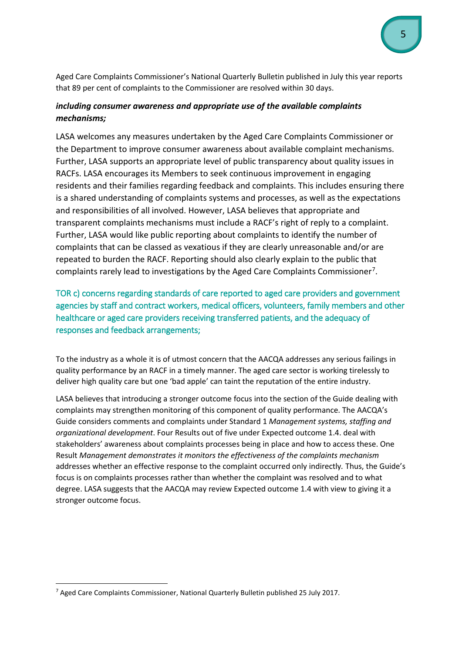Aged Care Complaints Commissioner's National Quarterly Bulletin published in July this year reports that 89 per cent of complaints to the Commissioner are resolved within 30 days.

### *including consumer awareness and appropriate use of the available complaints mechanisms;*

LASA welcomes any measures undertaken by the Aged Care Complaints Commissioner or the Department to improve consumer awareness about available complaint mechanisms. Further, LASA supports an appropriate level of public transparency about quality issues in RACFs. LASA encourages its Members to seek continuous improvement in engaging residents and their families regarding feedback and complaints. This includes ensuring there is a shared understanding of complaints systems and processes, as well as the expectations and responsibilities of all involved. However, LASA believes that appropriate and transparent complaints mechanisms must include a RACF's right of reply to a complaint. Further, LASA would like public reporting about complaints to identify the number of complaints that can be classed as vexatious if they are clearly unreasonable and/or are repeated to burden the RACF. Reporting should also clearly explain to the public that complaints rarely lead to investigations by the Aged Care Complaints Commissioner<sup>7</sup>.

# TOR c) concerns regarding standards of care reported to aged care providers and government agencies by staff and contract workers, medical officers, volunteers, family members and other healthcare or aged care providers receiving transferred patients, and the adequacy of responses and feedback arrangements;

To the industry as a whole it is of utmost concern that the AACQA addresses any serious failings in quality performance by an RACF in a timely manner. The aged care sector is working tirelessly to deliver high quality care but one 'bad apple' can taint the reputation of the entire industry.

LASA believes that introducing a stronger outcome focus into the section of the Guide dealing with complaints may strengthen monitoring of this component of quality performance. The AACQA's Guide considers comments and complaints under Standard 1 *Management systems, staffing and organizational development*. Four Results out of five under Expected outcome 1.4. deal with stakeholders' awareness about complaints processes being in place and how to access these. One Result *Management demonstrates it monitors the effectiveness of the complaints mechanism* addresses whether an effective response to the complaint occurred only indirectly*.* Thus, the Guide's focus is on complaints processes rather than whether the complaint was resolved and to what degree. LASA suggests that the AACQA may review Expected outcome 1.4 with view to giving it a stronger outcome focus.

<span id="page-4-0"></span> <sup>7</sup> Aged Care Complaints Commissioner, National Quarterly Bulletin published 25 July 2017.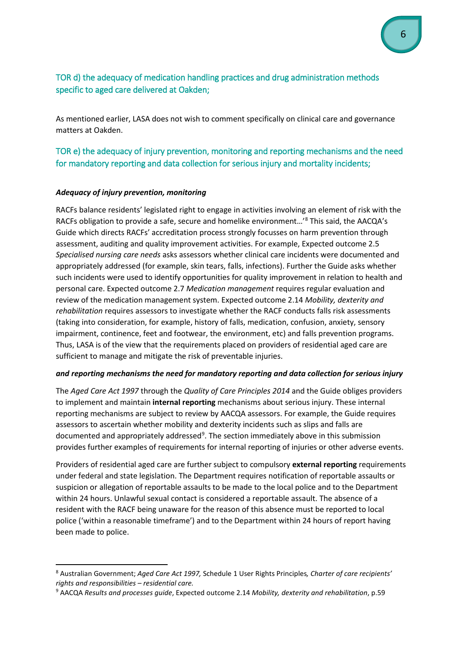# TOR d) the adequacy of medication handling practices and drug administration methods specific to aged care delivered at Oakden;

As mentioned earlier, LASA does not wish to comment specifically on clinical care and governance matters at Oakden.

## TOR e) the adequacy of injury prevention, monitoring and reporting mechanisms and the need for mandatory reporting and data collection for serious injury and mortality incidents;

#### *Adequacy of injury prevention, monitoring*

RACFs balance residents' legislated right to engage in activities involving an element of risk with the RACFs obligation to provide a safe, secure and homelike environment…'[8](#page-5-0) This said, the AACQA's Guide which directs RACFs' accreditation process strongly focusses on harm prevention through assessment, auditing and quality improvement activities. For example, Expected outcome 2.5 *Specialised nursing care needs* asks assessors whether clinical care incidents were documented and appropriately addressed (for example, skin tears, falls, infections). Further the Guide asks whether such incidents were used to identify opportunities for quality improvement in relation to health and personal care. Expected outcome 2.7 *Medication management* requires regular evaluation and review of the medication management system. Expected outcome 2.14 *Mobility, dexterity and rehabilitation* requires assessors to investigate whether the RACF conducts falls risk assessments (taking into consideration, for example, history of falls, medication, confusion, anxiety, sensory impairment, continence, feet and footwear, the environment, etc) and falls prevention programs. Thus, LASA is of the view that the requirements placed on providers of residential aged care are sufficient to manage and mitigate the risk of preventable injuries.

#### *and reporting mechanisms the need for mandatory reporting and data collection for serious injury*

The *Aged Care Act 1997* through the *Quality of Care Principles 2014* and the Guide obliges providers to implement and maintain **internal reporting** mechanisms about serious injury. These internal reporting mechanisms are subject to review by AACQA assessors. For example, the Guide requires assessors to ascertain whether mobility and dexterity incidents such as slips and falls are documented and appropriately addressed<sup>[9](#page-5-1)</sup>. The section immediately above in this submission provides further examples of requirements for internal reporting of injuries or other adverse events.

Providers of residential aged care are further subject to compulsory **external reporting** requirements under federal and state legislation. The Department requires notification of reportable assaults or suspicion or allegation of reportable assaults to be made to the local police and to the Department within 24 hours. Unlawful sexual contact is considered a reportable assault. The absence of a resident with the RACF being unaware for the reason of this absence must be reported to local police ('within a reasonable timeframe') and to the Department within 24 hours of report having been made to police.

<span id="page-5-0"></span> <sup>8</sup> Australian Government; *Aged Care Act 1997,* Schedule 1 User Rights Principles*, Charter of care recipients' rights and responsibilities – residential care.*

<span id="page-5-1"></span><sup>9</sup> AACQA *Results and processes guide*, Expected outcome 2.14 *Mobility, dexterity and rehabilitation*, p.59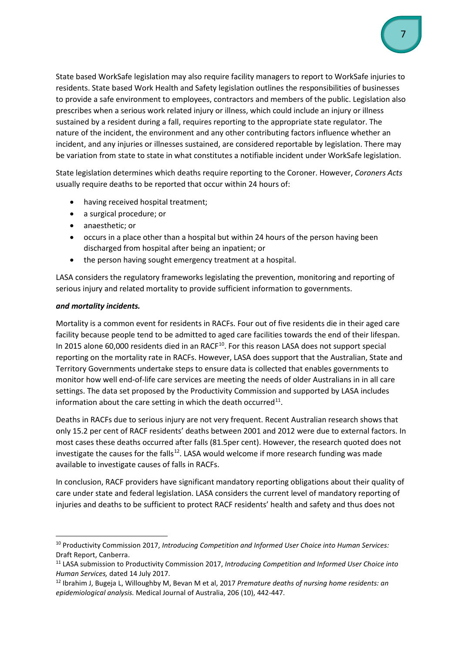State based WorkSafe legislation may also require facility managers to report to WorkSafe injuries to residents. State based Work Health and Safety legislation outlines the responsibilities of businesses to provide a safe environment to employees, contractors and members of the public. Legislation also prescribes when a serious work related injury or illness, which could include an injury or illness sustained by a resident during a fall, requires reporting to the appropriate state regulator. The nature of the incident, the environment and any other contributing factors influence whether an incident, and any injuries or illnesses sustained, are considered reportable by legislation. There may be variation from state to state in what constitutes a notifiable incident under WorkSafe legislation.

State legislation determines which deaths require reporting to the Coroner. However, *Coroners Acts* usually require deaths to be reported that occur within 24 hours of:

- having received hospital treatment;
- a surgical procedure; or
- anaesthetic; or
- occurs in a place other than a hospital but within 24 hours of the person having been discharged from hospital after being an inpatient; or
- the person having sought emergency treatment at a hospital.

LASA considers the regulatory frameworks legislating the prevention, monitoring and reporting of serious injury and related mortality to provide sufficient information to governments.

### *and mortality incidents.*

Mortality is a common event for residents in RACFs. Four out of five residents die in their aged care facility because people tend to be admitted to aged care facilities towards the end of their lifespan. In 2015 alone 60,000 residents died in an RACF<sup>[10](#page-6-0)</sup>. For this reason LASA does not support special reporting on the mortality rate in RACFs. However, LASA does support that the Australian, State and Territory Governments undertake steps to ensure data is collected that enables governments to monitor how well end-of-life care services are meeting the needs of older Australians in in all care settings. The data set proposed by the Productivity Commission and supported by LASA includes information about the care setting in which the death occurred<sup>11</sup>.

Deaths in RACFs due to serious injury are not very frequent. Recent Australian research shows that only 15.2 per cent of RACF residents' deaths between 2001 and 2012 were due to external factors. In most cases these deaths occurred after falls (81.5per cent). However, the research quoted does not investigate the causes for the falls<sup>[12](#page-6-2)</sup>. LASA would welcome if more research funding was made available to investigate causes of falls in RACFs.

In conclusion, RACF providers have significant mandatory reporting obligations about their quality of care under state and federal legislation. LASA considers the current level of mandatory reporting of injuries and deaths to be sufficient to protect RACF residents' health and safety and thus does not

<span id="page-6-0"></span> <sup>10</sup> Productivity Commission 2017, *Introducing Competition and Informed User Choice into Human Services:* Draft Report, Canberra.

<span id="page-6-1"></span><sup>11</sup> LASA submission to Productivity Commission 2017, *Introducing Competition and Informed User Choice into Human Services,* dated 14 July 2017.

<span id="page-6-2"></span><sup>12</sup> Ibrahim J, Bugeja L, Willoughby M, Bevan M et al, 2017 *Premature deaths of nursing home residents: an epidemiological analysis.* Medical Journal of Australia, 206 (10), 442-447.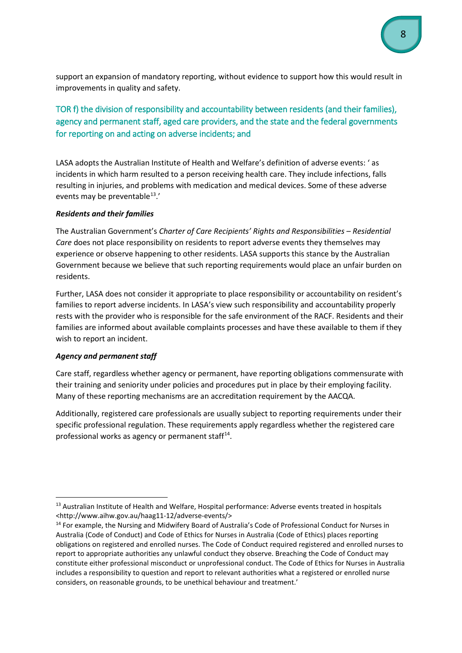support an expansion of mandatory reporting, without evidence to support how this would result in improvements in quality and safety.

# TOR f) the division of responsibility and accountability between residents (and their families), agency and permanent staff, aged care providers, and the state and the federal governments for reporting on and acting on adverse incidents; and

LASA adopts the Australian Institute of Health and Welfare's definition of adverse events: ' as incidents in which harm resulted to a person receiving health care. They include infections, falls resulting in injuries, and problems with medication and medical devices. Some of these adverse events may be preventable<sup>[13](#page-7-0)</sup>.'

#### *Residents and their families*

The Australian Government's *Charter of Care Recipients' Rights and Responsibilities – Residential Care* does not place responsibility on residents to report adverse events they themselves may experience or observe happening to other residents. LASA supports this stance by the Australian Government because we believe that such reporting requirements would place an unfair burden on residents.

Further, LASA does not consider it appropriate to place responsibility or accountability on resident's families to report adverse incidents. In LASA's view such responsibility and accountability properly rests with the provider who is responsible for the safe environment of the RACF. Residents and their families are informed about available complaints processes and have these available to them if they wish to report an incident.

#### *Agency and permanent staff*

Care staff, regardless whether agency or permanent, have reporting obligations commensurate with their training and seniority under policies and procedures put in place by their employing facility. Many of these reporting mechanisms are an accreditation requirement by the AACQA.

Additionally, registered care professionals are usually subject to reporting requirements under their specific professional regulation. These requirements apply regardless whether the registered care professional works as agency or permanent staff<sup>[14](#page-7-1)</sup>.

<span id="page-7-0"></span><sup>&</sup>lt;sup>13</sup> Australian Institute of Health and Welfare, Hospital performance: Adverse events treated in hospitals <http://www.aihw.gov.au/haag11-12/adverse-events/>

<span id="page-7-1"></span><sup>&</sup>lt;sup>14</sup> For example, the Nursing and Midwifery Board of Australia's Code of Professional Conduct for Nurses in Australia (Code of Conduct) and Code of Ethics for Nurses in Australia (Code of Ethics) places reporting obligations on registered and enrolled nurses. The Code of Conduct required registered and enrolled nurses to report to appropriate authorities any unlawful conduct they observe. Breaching the Code of Conduct may constitute either professional misconduct or unprofessional conduct. The Code of Ethics for Nurses in Australia includes a responsibility to question and report to relevant authorities what a registered or enrolled nurse considers, on reasonable grounds, to be unethical behaviour and treatment.'